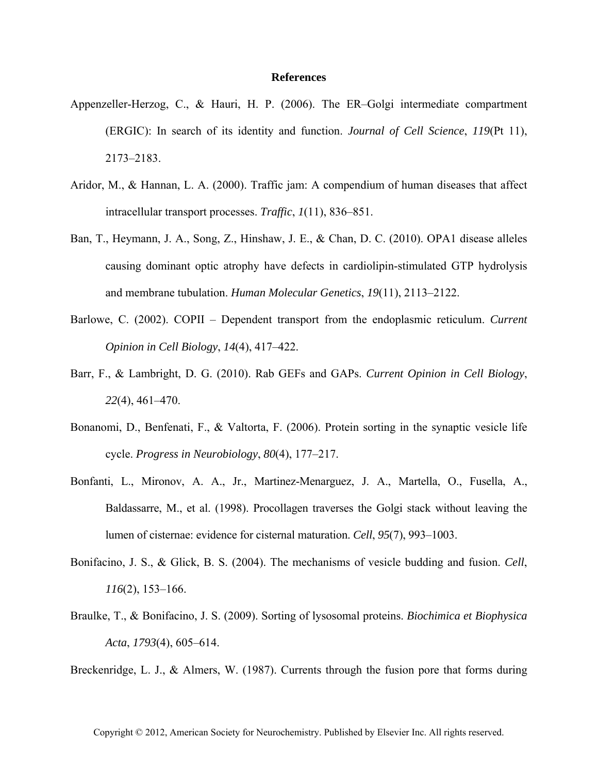## **References**

- Appenzeller-Herzog, C., & Hauri, H. P. (2006). The ER–Golgi intermediate compartment (ERGIC): In search of its identity and function. *Journal of Cell Science*, *119*(Pt 11), 2173–2183.
- Aridor, M., & Hannan, L. A. (2000). Traffic jam: A compendium of human diseases that affect intracellular transport processes. *Traffic*, *1*(11), 836–851.
- Ban, T., Heymann, J. A., Song, Z., Hinshaw, J. E., & Chan, D. C. (2010). OPA1 disease alleles causing dominant optic atrophy have defects in cardiolipin-stimulated GTP hydrolysis and membrane tubulation. *Human Molecular Genetics*, *19*(11), 2113–2122.
- Barlowe, C. (2002). COPII Dependent transport from the endoplasmic reticulum. *Current Opinion in Cell Biology*, *14*(4), 417–422.
- Barr, F., & Lambright, D. G. (2010). Rab GEFs and GAPs. *Current Opinion in Cell Biology*, *22*(4), 461–470.
- Bonanomi, D., Benfenati, F., & Valtorta, F. (2006). Protein sorting in the synaptic vesicle life cycle. *Progress in Neurobiology*, *80*(4), 177–217.
- Bonfanti, L., Mironov, A. A., Jr., Martinez-Menarguez, J. A., Martella, O., Fusella, A., Baldassarre, M., et al. (1998). Procollagen traverses the Golgi stack without leaving the lumen of cisternae: evidence for cisternal maturation. *Cell*, *95*(7), 993–1003.
- Bonifacino, J. S., & Glick, B. S. (2004). The mechanisms of vesicle budding and fusion. *Cell*, *116*(2), 153–166.
- Braulke, T., & Bonifacino, J. S. (2009). Sorting of lysosomal proteins. *Biochimica et Biophysica Acta*, *1793*(4), 605–614.

Breckenridge, L. J., & Almers, W. (1987). Currents through the fusion pore that forms during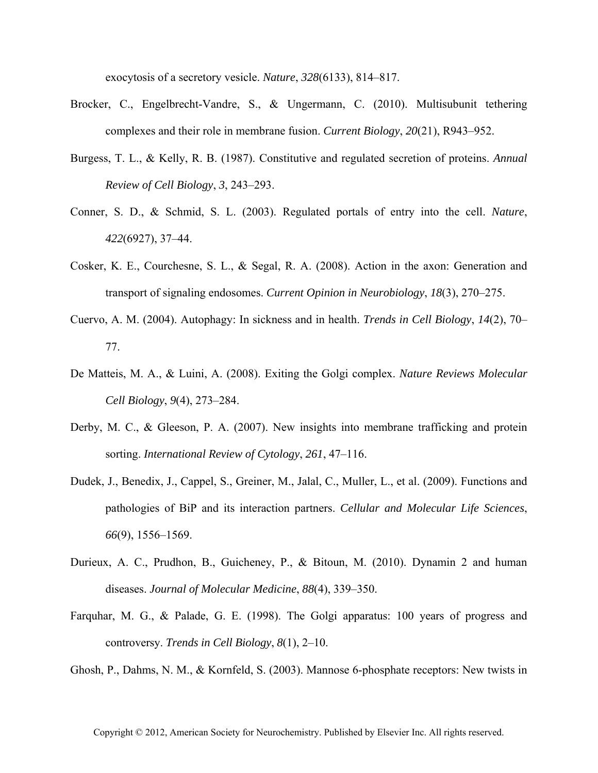exocytosis of a secretory vesicle. *Nature*, *328*(6133), 814–817.

- Brocker, C., Engelbrecht-Vandre, S., & Ungermann, C. (2010). Multisubunit tethering complexes and their role in membrane fusion. *Current Biology*, *20*(21), R943–952.
- Burgess, T. L., & Kelly, R. B. (1987). Constitutive and regulated secretion of proteins. *Annual Review of Cell Biology*, *3*, 243–293.
- Conner, S. D., & Schmid, S. L. (2003). Regulated portals of entry into the cell. *Nature*, *422*(6927), 37–44.
- Cosker, K. E., Courchesne, S. L., & Segal, R. A. (2008). Action in the axon: Generation and transport of signaling endosomes. *Current Opinion in Neurobiology*, *18*(3), 270–275.
- Cuervo, A. M. (2004). Autophagy: In sickness and in health. *Trends in Cell Biology*, *14*(2), 70– 77.
- De Matteis, M. A., & Luini, A. (2008). Exiting the Golgi complex. *Nature Reviews Molecular Cell Biology*, *9*(4), 273–284.
- Derby, M. C., & Gleeson, P. A. (2007). New insights into membrane trafficking and protein sorting. *International Review of Cytology*, *261*, 47–116.
- Dudek, J., Benedix, J., Cappel, S., Greiner, M., Jalal, C., Muller, L., et al. (2009). Functions and pathologies of BiP and its interaction partners. *Cellular and Molecular Life Sciences*, *66*(9), 1556–1569.
- Durieux, A. C., Prudhon, B., Guicheney, P., & Bitoun, M. (2010). Dynamin 2 and human diseases. *Journal of Molecular Medicine*, *88*(4), 339–350.
- Farquhar, M. G., & Palade, G. E. (1998). The Golgi apparatus: 100 years of progress and controversy. *Trends in Cell Biology*, *8*(1), 2–10.

Ghosh, P., Dahms, N. M., & Kornfeld, S. (2003). Mannose 6-phosphate receptors: New twists in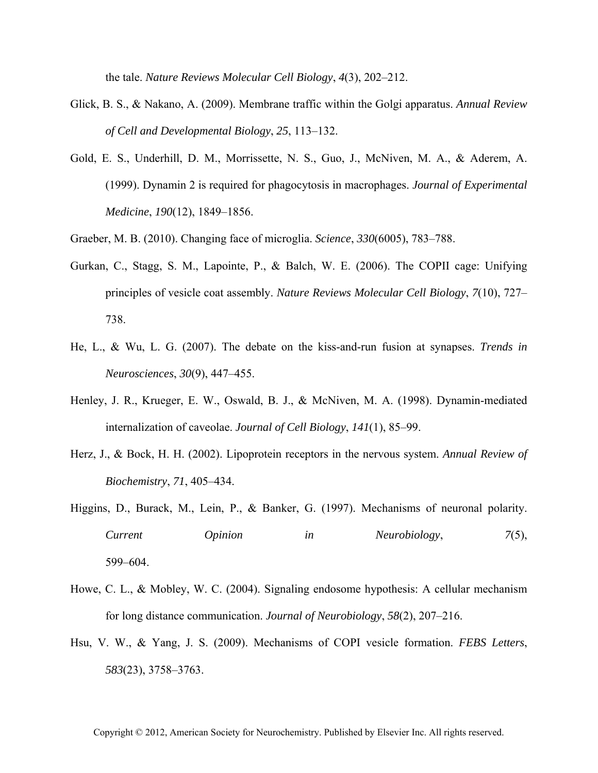the tale. *Nature Reviews Molecular Cell Biology*, *4*(3), 202–212.

- Glick, B. S., & Nakano, A. (2009). Membrane traffic within the Golgi apparatus. *Annual Review of Cell and Developmental Biology*, *25*, 113–132.
- Gold, E. S., Underhill, D. M., Morrissette, N. S., Guo, J., McNiven, M. A., & Aderem, A. (1999). Dynamin 2 is required for phagocytosis in macrophages. *Journal of Experimental Medicine*, *190*(12), 1849–1856.
- Graeber, M. B. (2010). Changing face of microglia. *Science*, *330*(6005), 783–788.
- Gurkan, C., Stagg, S. M., Lapointe, P., & Balch, W. E. (2006). The COPII cage: Unifying principles of vesicle coat assembly. *Nature Reviews Molecular Cell Biology*, *7*(10), 727– 738.
- He, L., & Wu, L. G. (2007). The debate on the kiss-and-run fusion at synapses. *Trends in Neurosciences*, *30*(9), 447–455.
- Henley, J. R., Krueger, E. W., Oswald, B. J., & McNiven, M. A. (1998). Dynamin-mediated internalization of caveolae. *Journal of Cell Biology*, *141*(1), 85–99.
- Herz, J., & Bock, H. H. (2002). Lipoprotein receptors in the nervous system. *Annual Review of Biochemistry*, *71*, 405–434.
- Higgins, D., Burack, M., Lein, P., & Banker, G. (1997). Mechanisms of neuronal polarity. *Current Opinion in Neurobiology*, *7*(5), 599–604.
- Howe, C. L., & Mobley, W. C. (2004). Signaling endosome hypothesis: A cellular mechanism for long distance communication. *Journal of Neurobiology*, *58*(2), 207–216.
- Hsu, V. W., & Yang, J. S. (2009). Mechanisms of COPI vesicle formation. *FEBS Letters*, *583*(23), 3758–3763.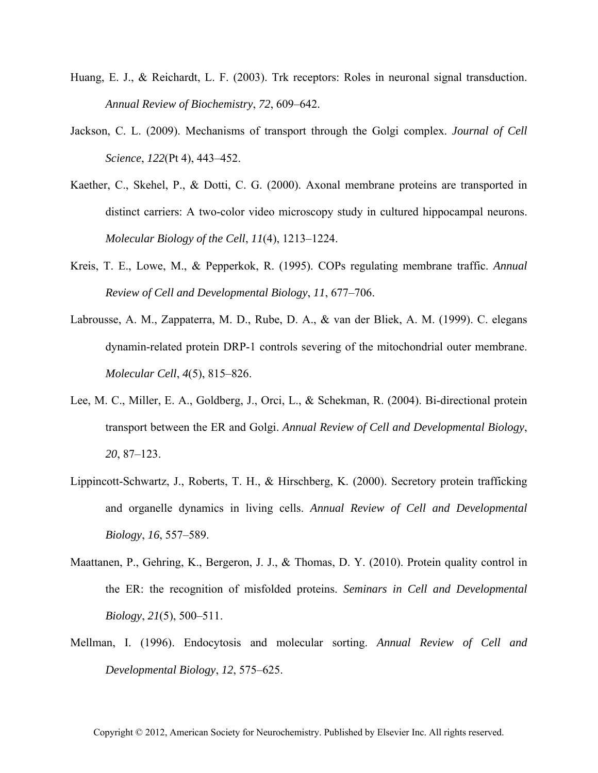- Huang, E. J., & Reichardt, L. F. (2003). Trk receptors: Roles in neuronal signal transduction. *Annual Review of Biochemistry*, *72*, 609–642.
- Jackson, C. L. (2009). Mechanisms of transport through the Golgi complex. *Journal of Cell Science*, *122*(Pt 4), 443–452.
- Kaether, C., Skehel, P., & Dotti, C. G. (2000). Axonal membrane proteins are transported in distinct carriers: A two-color video microscopy study in cultured hippocampal neurons. *Molecular Biology of the Cell*, *11*(4), 1213–1224.
- Kreis, T. E., Lowe, M., & Pepperkok, R. (1995). COPs regulating membrane traffic. *Annual Review of Cell and Developmental Biology*, *11*, 677–706.
- Labrousse, A. M., Zappaterra, M. D., Rube, D. A., & van der Bliek, A. M. (1999). C. elegans dynamin-related protein DRP-1 controls severing of the mitochondrial outer membrane. *Molecular Cell*, *4*(5), 815–826.
- Lee, M. C., Miller, E. A., Goldberg, J., Orci, L., & Schekman, R. (2004). Bi-directional protein transport between the ER and Golgi. *Annual Review of Cell and Developmental Biology*, *20*, 87–123.
- Lippincott-Schwartz, J., Roberts, T. H., & Hirschberg, K. (2000). Secretory protein trafficking and organelle dynamics in living cells. *Annual Review of Cell and Developmental Biology*, *16*, 557–589.
- Maattanen, P., Gehring, K., Bergeron, J. J., & Thomas, D. Y. (2010). Protein quality control in the ER: the recognition of misfolded proteins. *Seminars in Cell and Developmental Biology*, *21*(5), 500–511.
- Mellman, I. (1996). Endocytosis and molecular sorting. *Annual Review of Cell and Developmental Biology*, *12*, 575–625.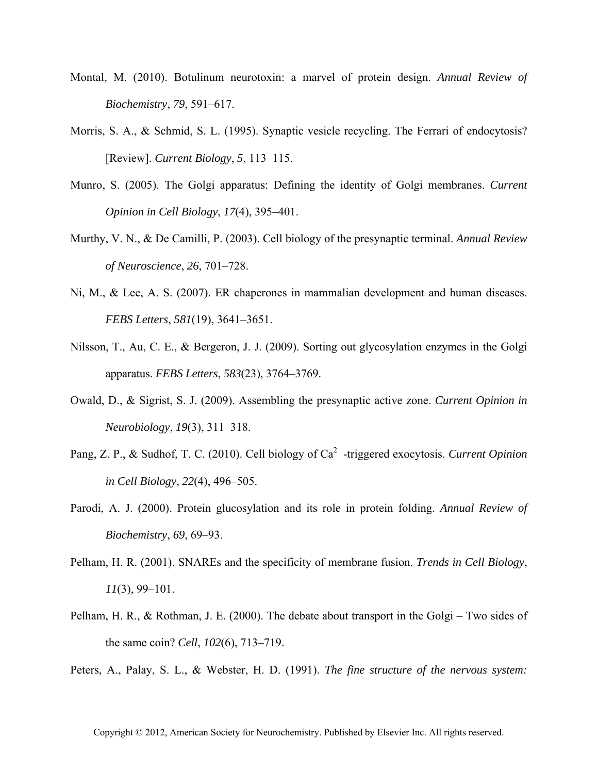- Montal, M. (2010). Botulinum neurotoxin: a marvel of protein design. *Annual Review of Biochemistry*, *79*, 591–617.
- Morris, S. A., & Schmid, S. L. (1995). Synaptic vesicle recycling. The Ferrari of endocytosis? [Review]. *Current Biology*, *5*, 113–115.
- Munro, S. (2005). The Golgi apparatus: Defining the identity of Golgi membranes. *Current Opinion in Cell Biology*, *17*(4), 395–401.
- Murthy, V. N., & De Camilli, P. (2003). Cell biology of the presynaptic terminal. *Annual Review of Neuroscience*, *26*, 701–728.
- Ni, M., & Lee, A. S. (2007). ER chaperones in mammalian development and human diseases. *FEBS Letters*, *581*(19), 3641–3651.
- Nilsson, T., Au, C. E., & Bergeron, J. J. (2009). Sorting out glycosylation enzymes in the Golgi apparatus. *FEBS Letters*, *583*(23), 3764–3769.
- Owald, D., & Sigrist, S. J. (2009). Assembling the presynaptic active zone. *Current Opinion in Neurobiology*, *19*(3), 311–318.
- Pang, Z. P., & Sudhof, T. C. (2010). Cell biology of Ca<sup>2</sup>-triggered exocytosis. *Current Opinion in Cell Biology*, *22*(4), 496–505.
- Parodi, A. J. (2000). Protein glucosylation and its role in protein folding. *Annual Review of Biochemistry*, *69*, 69–93.
- Pelham, H. R. (2001). SNAREs and the specificity of membrane fusion. *Trends in Cell Biology*, *11*(3), 99–101.
- Pelham, H. R., & Rothman, J. E. (2000). The debate about transport in the Golgi Two sides of the same coin? *Cell*, *102*(6), 713–719.

Peters, A., Palay, S. L., & Webster, H. D. (1991). *The fine structure of the nervous system:*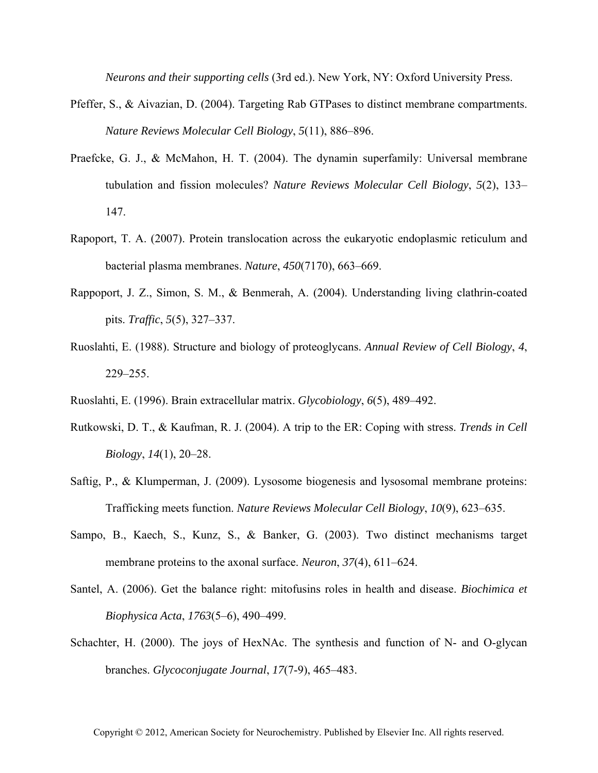*Neurons and their supporting cells* (3rd ed.). New York, NY: Oxford University Press.

- Pfeffer, S., & Aivazian, D. (2004). Targeting Rab GTPases to distinct membrane compartments. *Nature Reviews Molecular Cell Biology*, *5*(11), 886–896.
- Praefcke, G. J., & McMahon, H. T. (2004). The dynamin superfamily: Universal membrane tubulation and fission molecules? *Nature Reviews Molecular Cell Biology*, *5*(2), 133– 147.
- Rapoport, T. A. (2007). Protein translocation across the eukaryotic endoplasmic reticulum and bacterial plasma membranes. *Nature*, *450*(7170), 663–669.
- Rappoport, J. Z., Simon, S. M., & Benmerah, A. (2004). Understanding living clathrin-coated pits. *Traffic*, *5*(5), 327–337.
- Ruoslahti, E. (1988). Structure and biology of proteoglycans. *Annual Review of Cell Biology*, *4*, 229–255.
- Ruoslahti, E. (1996). Brain extracellular matrix. *Glycobiology*, *6*(5), 489–492.
- Rutkowski, D. T., & Kaufman, R. J. (2004). A trip to the ER: Coping with stress. *Trends in Cell Biology*, *14*(1), 20–28.
- Saftig, P., & Klumperman, J. (2009). Lysosome biogenesis and lysosomal membrane proteins: Trafficking meets function. *Nature Reviews Molecular Cell Biology*, *10*(9), 623–635.
- Sampo, B., Kaech, S., Kunz, S., & Banker, G. (2003). Two distinct mechanisms target membrane proteins to the axonal surface. *Neuron*, *37*(4), 611–624.
- Santel, A. (2006). Get the balance right: mitofusins roles in health and disease. *Biochimica et Biophysica Acta*, *1763*(5–6), 490–499.
- Schachter, H. (2000). The joys of HexNAc. The synthesis and function of N- and O-glycan branches. *Glycoconjugate Journal*, *17*(7-9), 465–483.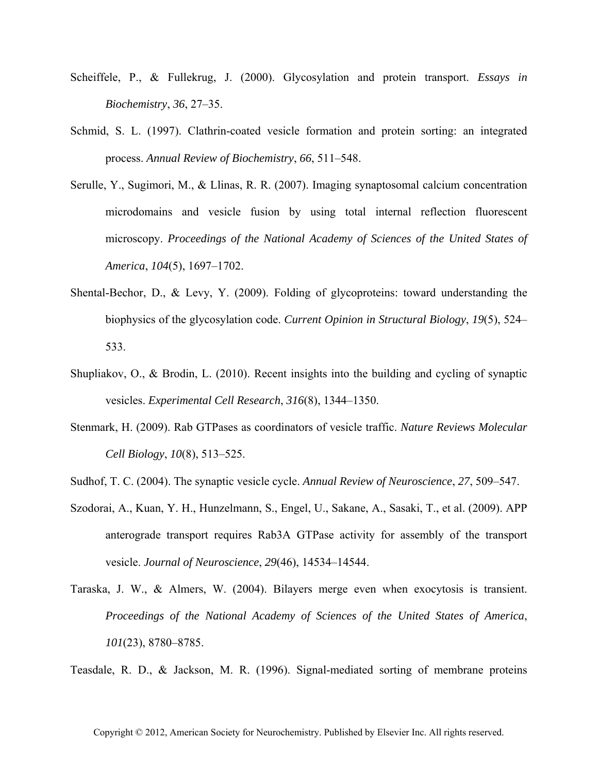- Scheiffele, P., & Fullekrug, J. (2000). Glycosylation and protein transport. *Essays in Biochemistry*, *36*, 27–35.
- Schmid, S. L. (1997). Clathrin-coated vesicle formation and protein sorting: an integrated process. *Annual Review of Biochemistry*, *66*, 511–548.
- Serulle, Y., Sugimori, M., & Llinas, R. R. (2007). Imaging synaptosomal calcium concentration microdomains and vesicle fusion by using total internal reflection fluorescent microscopy. *Proceedings of the National Academy of Sciences of the United States of America*, *104*(5), 1697–1702.
- Shental-Bechor, D., & Levy, Y. (2009). Folding of glycoproteins: toward understanding the biophysics of the glycosylation code. *Current Opinion in Structural Biology*, *19*(5), 524– 533.
- Shupliakov, O., & Brodin, L. (2010). Recent insights into the building and cycling of synaptic vesicles. *Experimental Cell Research*, *316*(8), 1344–1350.
- Stenmark, H. (2009). Rab GTPases as coordinators of vesicle traffic. *Nature Reviews Molecular Cell Biology*, *10*(8), 513–525.
- Sudhof, T. C. (2004). The synaptic vesicle cycle. *Annual Review of Neuroscience*, *27*, 509–547.
- Szodorai, A., Kuan, Y. H., Hunzelmann, S., Engel, U., Sakane, A., Sasaki, T., et al. (2009). APP anterograde transport requires Rab3A GTPase activity for assembly of the transport vesicle. *Journal of Neuroscience*, *29*(46), 14534–14544.
- Taraska, J. W., & Almers, W. (2004). Bilayers merge even when exocytosis is transient. *Proceedings of the National Academy of Sciences of the United States of America*, *101*(23), 8780–8785.

Teasdale, R. D., & Jackson, M. R. (1996). Signal-mediated sorting of membrane proteins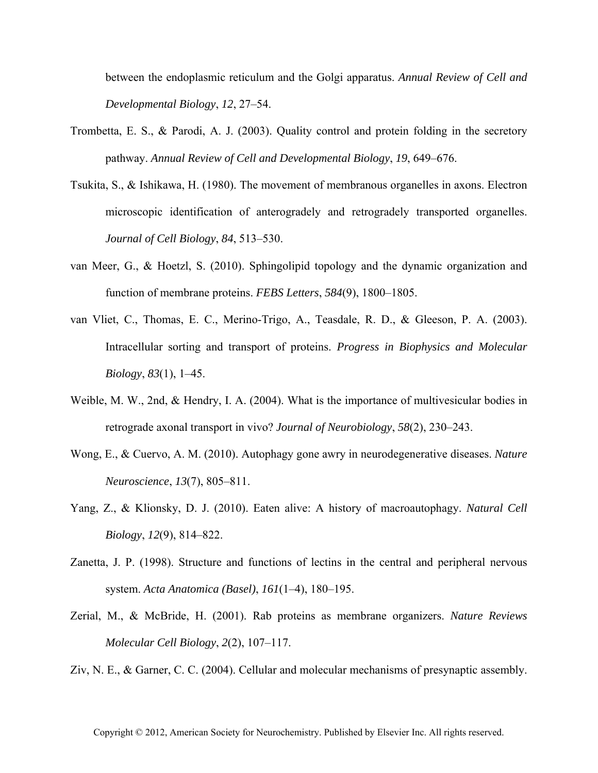between the endoplasmic reticulum and the Golgi apparatus. *Annual Review of Cell and Developmental Biology*, *12*, 27–54.

- Trombetta, E. S., & Parodi, A. J. (2003). Quality control and protein folding in the secretory pathway. *Annual Review of Cell and Developmental Biology*, *19*, 649–676.
- Tsukita, S., & Ishikawa, H. (1980). The movement of membranous organelles in axons. Electron microscopic identification of anterogradely and retrogradely transported organelles. *Journal of Cell Biology*, *84*, 513–530.
- van Meer, G., & Hoetzl, S. (2010). Sphingolipid topology and the dynamic organization and function of membrane proteins. *FEBS Letters*, *584*(9), 1800–1805.
- van Vliet, C., Thomas, E. C., Merino-Trigo, A., Teasdale, R. D., & Gleeson, P. A. (2003). Intracellular sorting and transport of proteins. *Progress in Biophysics and Molecular Biology*, *83*(1), 1–45.
- Weible, M. W., 2nd, & Hendry, I. A. (2004). What is the importance of multivesicular bodies in retrograde axonal transport in vivo? *Journal of Neurobiology*, *58*(2), 230–243.
- Wong, E., & Cuervo, A. M. (2010). Autophagy gone awry in neurodegenerative diseases. *Nature Neuroscience*, *13*(7), 805–811.
- Yang, Z., & Klionsky, D. J. (2010). Eaten alive: A history of macroautophagy. *Natural Cell Biology*, *12*(9), 814–822.
- Zanetta, J. P. (1998). Structure and functions of lectins in the central and peripheral nervous system. *Acta Anatomica (Basel)*, *161*(1–4), 180–195.
- Zerial, M., & McBride, H. (2001). Rab proteins as membrane organizers. *Nature Reviews Molecular Cell Biology*, *2*(2), 107–117.
- Ziv, N. E., & Garner, C. C. (2004). Cellular and molecular mechanisms of presynaptic assembly.